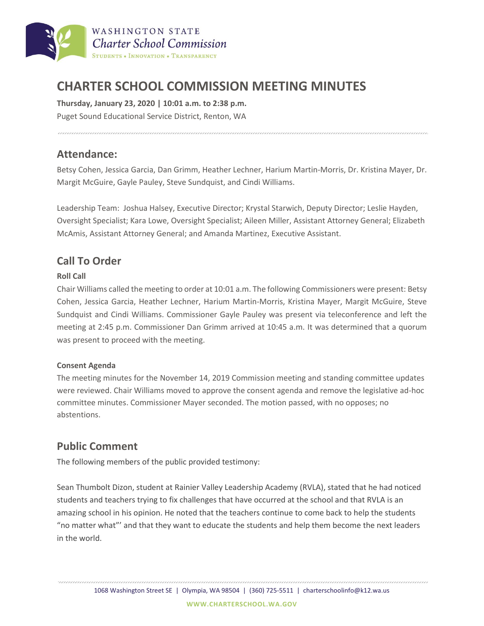

# **CHARTER SCHOOL COMMISSION MEETING MINUTES**

**Thursday, January 23, 2020 | 10:01 a.m. to 2:38 p.m.** Puget Sound Educational Service District, Renton, WA

### **Attendance:**

Betsy Cohen, Jessica Garcia, Dan Grimm, Heather Lechner, Harium Martin-Morris, Dr. Kristina Mayer, Dr. Margit McGuire, Gayle Pauley, Steve Sundquist, and Cindi Williams.

Leadership Team: Joshua Halsey, Executive Director; Krystal Starwich, Deputy Director; Leslie Hayden, Oversight Specialist; Kara Lowe, Oversight Specialist; Aileen Miller, Assistant Attorney General; Elizabeth McAmis, Assistant Attorney General; and Amanda Martinez, Executive Assistant.

# **Call To Order**

#### **Roll Call**

Chair Williams called the meeting to order at 10:01 a.m. The following Commissioners were present: Betsy Cohen, Jessica Garcia, Heather Lechner, Harium Martin-Morris, Kristina Mayer, Margit McGuire, Steve Sundquist and Cindi Williams. Commissioner Gayle Pauley was present via teleconference and left the meeting at 2:45 p.m. Commissioner Dan Grimm arrived at 10:45 a.m. It was determined that a quorum was present to proceed with the meeting.

#### **Consent Agenda**

The meeting minutes for the November 14, 2019 Commission meeting and standing committee updates were reviewed. Chair Williams moved to approve the consent agenda and remove the legislative ad-hoc committee minutes. Commissioner Mayer seconded. The motion passed, with no opposes; no abstentions.

## **Public Comment**

The following members of the public provided testimony:

Sean Thumbolt Dizon, student at Rainier Valley Leadership Academy (RVLA), stated that he had noticed students and teachers trying to fix challenges that have occurred at the school and that RVLA is an amazing school in his opinion. He noted that the teachers continue to come back to help the students "no matter what"' and that they want to educate the students and help them become the next leaders in the world.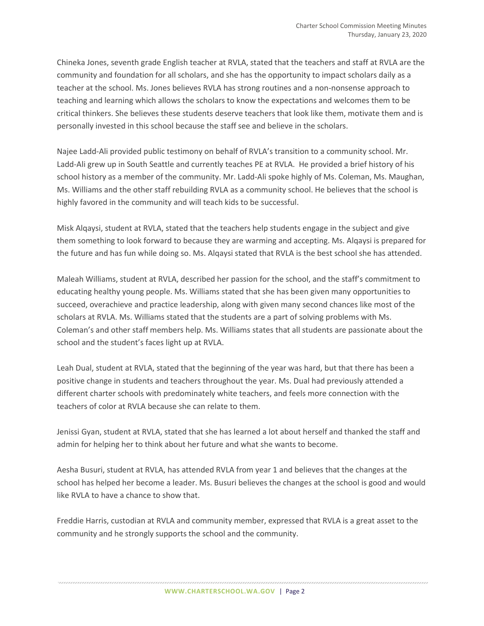Chineka Jones, seventh grade English teacher at RVLA, stated that the teachers and staff at RVLA are the community and foundation for all scholars, and she has the opportunity to impact scholars daily as a teacher at the school. Ms. Jones believes RVLA has strong routines and a non-nonsense approach to teaching and learning which allows the scholars to know the expectations and welcomes them to be critical thinkers. She believes these students deserve teachers that look like them, motivate them and is personally invested in this school because the staff see and believe in the scholars.

Najee Ladd-Ali provided public testimony on behalf of RVLA's transition to a community school. Mr. Ladd-Ali grew up in South Seattle and currently teaches PE at RVLA. He provided a brief history of his school history as a member of the community. Mr. Ladd-Ali spoke highly of Ms. Coleman, Ms. Maughan, Ms. Williams and the other staff rebuilding RVLA as a community school. He believes that the school is highly favored in the community and will teach kids to be successful.

Misk Alqaysi, student at RVLA, stated that the teachers help students engage in the subject and give them something to look forward to because they are warming and accepting. Ms. Alqaysi is prepared for the future and has fun while doing so. Ms. Alqaysi stated that RVLA is the best school she has attended.

Maleah Williams, student at RVLA, described her passion for the school, and the staff's commitment to educating healthy young people. Ms. Williams stated that she has been given many opportunities to succeed, overachieve and practice leadership, along with given many second chances like most of the scholars at RVLA. Ms. Williams stated that the students are a part of solving problems with Ms. Coleman's and other staff members help. Ms. Williams states that all students are passionate about the school and the student's faces light up at RVLA.

Leah Dual, student at RVLA, stated that the beginning of the year was hard, but that there has been a positive change in students and teachers throughout the year. Ms. Dual had previously attended a different charter schools with predominately white teachers, and feels more connection with the teachers of color at RVLA because she can relate to them.

Jenissi Gyan, student at RVLA, stated that she has learned a lot about herself and thanked the staff and admin for helping her to think about her future and what she wants to become.

Aesha Busuri, student at RVLA, has attended RVLA from year 1 and believes that the changes at the school has helped her become a leader. Ms. Busuri believes the changes at the school is good and would like RVLA to have a chance to show that.

Freddie Harris, custodian at RVLA and community member, expressed that RVLA is a great asset to the community and he strongly supports the school and the community.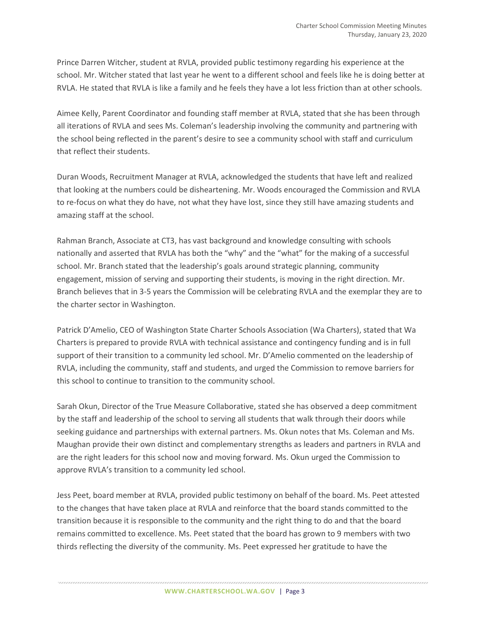Prince Darren Witcher, student at RVLA, provided public testimony regarding his experience at the school. Mr. Witcher stated that last year he went to a different school and feels like he is doing better at RVLA. He stated that RVLA is like a family and he feels they have a lot less friction than at other schools.

Aimee Kelly, Parent Coordinator and founding staff member at RVLA, stated that she has been through all iterations of RVLA and sees Ms. Coleman's leadership involving the community and partnering with the school being reflected in the parent's desire to see a community school with staff and curriculum that reflect their students.

Duran Woods, Recruitment Manager at RVLA, acknowledged the students that have left and realized that looking at the numbers could be disheartening. Mr. Woods encouraged the Commission and RVLA to re-focus on what they do have, not what they have lost, since they still have amazing students and amazing staff at the school.

Rahman Branch, Associate at CT3, has vast background and knowledge consulting with schools nationally and asserted that RVLA has both the "why" and the "what" for the making of a successful school. Mr. Branch stated that the leadership's goals around strategic planning, community engagement, mission of serving and supporting their students, is moving in the right direction. Mr. Branch believes that in 3-5 years the Commission will be celebrating RVLA and the exemplar they are to the charter sector in Washington.

Patrick D'Amelio, CEO of Washington State Charter Schools Association (Wa Charters), stated that Wa Charters is prepared to provide RVLA with technical assistance and contingency funding and is in full support of their transition to a community led school. Mr. D'Amelio commented on the leadership of RVLA, including the community, staff and students, and urged the Commission to remove barriers for this school to continue to transition to the community school.

Sarah Okun, Director of the True Measure Collaborative, stated she has observed a deep commitment by the staff and leadership of the school to serving all students that walk through their doors while seeking guidance and partnerships with external partners. Ms. Okun notes that Ms. Coleman and Ms. Maughan provide their own distinct and complementary strengths as leaders and partners in RVLA and are the right leaders for this school now and moving forward. Ms. Okun urged the Commission to approve RVLA's transition to a community led school.

Jess Peet, board member at RVLA, provided public testimony on behalf of the board. Ms. Peet attested to the changes that have taken place at RVLA and reinforce that the board stands committed to the transition because it is responsible to the community and the right thing to do and that the board remains committed to excellence. Ms. Peet stated that the board has grown to 9 members with two thirds reflecting the diversity of the community. Ms. Peet expressed her gratitude to have the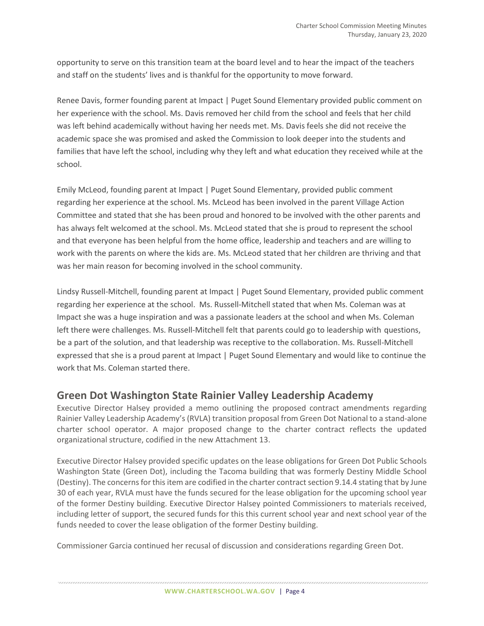opportunity to serve on this transition team at the board level and to hear the impact of the teachers and staff on the students' lives and is thankful for the opportunity to move forward.

Renee Davis, former founding parent at Impact | Puget Sound Elementary provided public comment on her experience with the school. Ms. Davis removed her child from the school and feels that her child was left behind academically without having her needs met. Ms. Davis feels she did not receive the academic space she was promised and asked the Commission to look deeper into the students and families that have left the school, including why they left and what education they received while at the school.

Emily McLeod, founding parent at Impact | Puget Sound Elementary, provided public comment regarding her experience at the school. Ms. McLeod has been involved in the parent Village Action Committee and stated that she has been proud and honored to be involved with the other parents and has always felt welcomed at the school. Ms. McLeod stated that she is proud to represent the school and that everyone has been helpful from the home office, leadership and teachers and are willing to work with the parents on where the kids are. Ms. McLeod stated that her children are thriving and that was her main reason for becoming involved in the school community.

Lindsy Russell-Mitchell, founding parent at Impact | Puget Sound Elementary, provided public comment regarding her experience at the school. Ms. Russell-Mitchell stated that when Ms. Coleman was at Impact she was a huge inspiration and was a passionate leaders at the school and when Ms. Coleman left there were challenges. Ms. Russell-Mitchell felt that parents could go to leadership with questions, be a part of the solution, and that leadership was receptive to the collaboration. Ms. Russell-Mitchell expressed that she is a proud parent at Impact | Puget Sound Elementary and would like to continue the work that Ms. Coleman started there.

### **Green Dot Washington State Rainier Valley Leadership Academy**

Executive Director Halsey provided a memo outlining the proposed contract amendments regarding Rainier Valley Leadership Academy's (RVLA) transition proposal from Green Dot National to a stand-alone charter school operator. A major proposed change to the charter contract reflects the updated organizational structure, codified in the new Attachment 13.

Executive Director Halsey provided specific updates on the lease obligations for Green Dot Public Schools Washington State (Green Dot), including the Tacoma building that was formerly Destiny Middle School (Destiny). The concerns for this item are codified in the charter contract section 9.14.4 stating that by June 30 of each year, RVLA must have the funds secured for the lease obligation for the upcoming school year of the former Destiny building. Executive Director Halsey pointed Commissioners to materials received, including letter of support, the secured funds for this this current school year and next school year of the funds needed to cover the lease obligation of the former Destiny building.

Commissioner Garcia continued her recusal of discussion and considerations regarding Green Dot.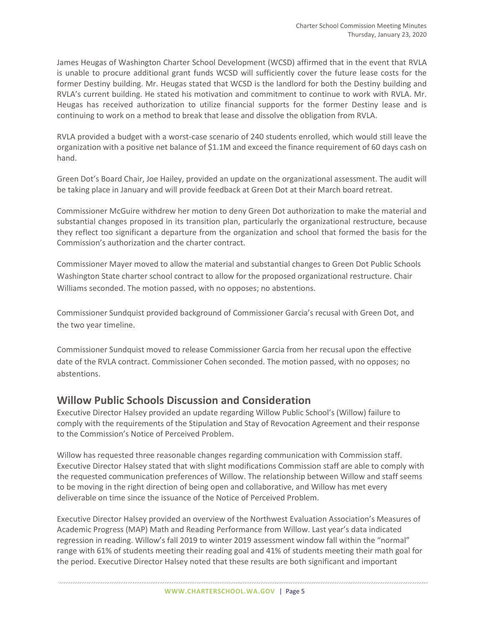James Heugas of Washington Charter School Development (WCSD) affirmed that in the event that RVLA is unable to procure additional grant funds WCSD will sufficiently cover the future lease costs for the former Destiny building. Mr. Heugas stated that WCSD is the landlord for both the Destiny building and RVLA's current building. He stated his motivation and commitment to continue to work with RVLA. Mr. Heugas has received authorization to utilize financial supports for the former Destiny lease and is continuing to work on a method to break that lease and dissolve the obligation from RVLA.

RVLA provided a budget with a worst-case scenario of 240 students enrolled, which would still leave the organization with a positive net balance of \$1.1M and exceed the finance requirement of 60 days cash on hand.

Green Dot's Board Chair, Joe Hailey, provided an update on the organizational assessment. The audit will be taking place in January and will provide feedback at Green Dot at their March board retreat.

Commissioner McGuire withdrew her motion to deny Green Dot authorization to make the material and substantial changes proposed in its transition plan, particularly the organizational restructure, because they reflect too significant a departure from the organization and school that formed the basis for the Commission's authorization and the charter contract.

Commissioner Mayer moved to allow the material and substantial changes to Green Dot Public Schools Washington State charter school contract to allow for the proposed organizational restructure. Chair Williams seconded. The motion passed, with no opposes; no abstentions.

Commissioner Sundquist provided background of Commissioner Garcia's recusal with Green Dot, and the two year timeline.

Commissioner Sundquist moved to release Commissioner Garcia from her recusal upon the effective date of the RVLA contract. Commissioner Cohen seconded. The motion passed, with no opposes; no abstentions.

## **Willow Public Schools Discussion and Consideration**

Executive Director Halsey provided an update regarding Willow Public School's (Willow) failure to comply with the requirements of the Stipulation and Stay of Revocation Agreement and their response to the Commission's Notice of Perceived Problem.

Willow has requested three reasonable changes regarding communication with Commission staff. Executive Director Halsey stated that with slight modifications Commission staff are able to comply with the requested communication preferences of Willow. The relationship between Willow and staff seems to be moving in the right direction of being open and collaborative, and Willow has met every deliverable on time since the issuance of the Notice of Perceived Problem.

Executive Director Halsey provided an overview of the Northwest Evaluation Association's Measures of Academic Progress (MAP) Math and Reading Performance from Willow. Last year's data indicated regression in reading. Willow's fall 2019 to winter 2019 assessment window fall within the "normal" range with 61% of students meeting their reading goal and 41% of students meeting their math goal for the period. Executive Director Halsey noted that these results are both significant and important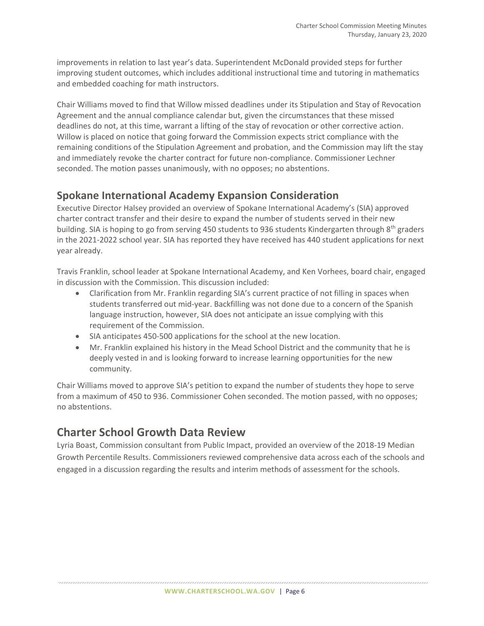improvements in relation to last year's data. Superintendent McDonald provided steps for further improving student outcomes, which includes additional instructional time and tutoring in mathematics and embedded coaching for math instructors.

Chair Williams moved to find that Willow missed deadlines under its Stipulation and Stay of Revocation Agreement and the annual compliance calendar but, given the circumstances that these missed deadlines do not, at this time, warrant a lifting of the stay of revocation or other corrective action. Willow is placed on notice that going forward the Commission expects strict compliance with the remaining conditions of the Stipulation Agreement and probation, and the Commission may lift the stay and immediately revoke the charter contract for future non-compliance. Commissioner Lechner seconded. The motion passes unanimously, with no opposes; no abstentions.

### **Spokane International Academy Expansion Consideration**

Executive Director Halsey provided an overview of Spokane International Academy's (SIA) approved charter contract transfer and their desire to expand the number of students served in their new building. SIA is hoping to go from serving 450 students to 936 students Kindergarten through 8<sup>th</sup> graders in the 2021-2022 school year. SIA has reported they have received has 440 student applications for next year already.

Travis Franklin, school leader at Spokane International Academy, and Ken Vorhees, board chair, engaged in discussion with the Commission. This discussion included:

- Clarification from Mr. Franklin regarding SIA's current practice of not filling in spaces when students transferred out mid-year. Backfilling was not done due to a concern of the Spanish language instruction, however, SIA does not anticipate an issue complying with this requirement of the Commission.
- SIA anticipates 450-500 applications for the school at the new location.
- Mr. Franklin explained his history in the Mead School District and the community that he is deeply vested in and is looking forward to increase learning opportunities for the new community.

Chair Williams moved to approve SIA's petition to expand the number of students they hope to serve from a maximum of 450 to 936. Commissioner Cohen seconded. The motion passed, with no opposes; no abstentions.

# **Charter School Growth Data Review**

Lyria Boast, Commission consultant from Public Impact, provided an overview of the 2018-19 Median Growth Percentile Results. Commissioners reviewed comprehensive data across each of the schools and engaged in a discussion regarding the results and interim methods of assessment for the schools.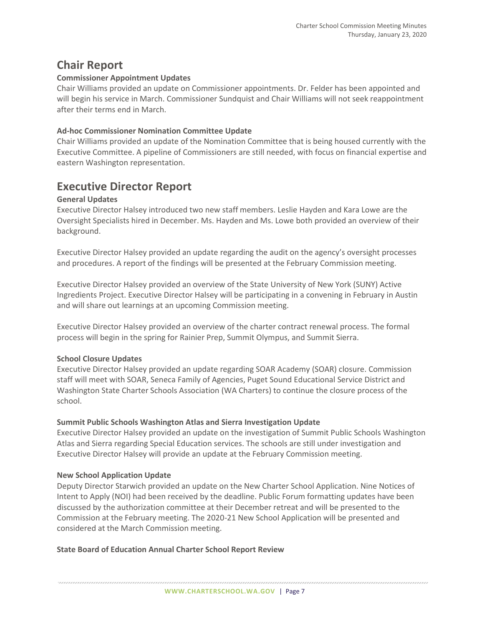# **Chair Report**

#### **Commissioner Appointment Updates**

Chair Williams provided an update on Commissioner appointments. Dr. Felder has been appointed and will begin his service in March. Commissioner Sundquist and Chair Williams will not seek reappointment after their terms end in March.

#### **Ad-hoc Commissioner Nomination Committee Update**

Chair Williams provided an update of the Nomination Committee that is being housed currently with the Executive Committee. A pipeline of Commissioners are still needed, with focus on financial expertise and eastern Washington representation.

# **Executive Director Report**

#### **General Updates**

Executive Director Halsey introduced two new staff members. Leslie Hayden and Kara Lowe are the Oversight Specialists hired in December. Ms. Hayden and Ms. Lowe both provided an overview of their background.

Executive Director Halsey provided an update regarding the audit on the agency's oversight processes and procedures. A report of the findings will be presented at the February Commission meeting.

Executive Director Halsey provided an overview of the State University of New York (SUNY) Active Ingredients Project. Executive Director Halsey will be participating in a convening in February in Austin and will share out learnings at an upcoming Commission meeting.

Executive Director Halsey provided an overview of the charter contract renewal process. The formal process will begin in the spring for Rainier Prep, Summit Olympus, and Summit Sierra.

#### **School Closure Updates**

Executive Director Halsey provided an update regarding SOAR Academy (SOAR) closure. Commission staff will meet with SOAR, Seneca Family of Agencies, Puget Sound Educational Service District and Washington State Charter Schools Association (WA Charters) to continue the closure process of the school.

#### **Summit Public Schools Washington Atlas and Sierra Investigation Update**

Executive Director Halsey provided an update on the investigation of Summit Public Schools Washington Atlas and Sierra regarding Special Education services. The schools are still under investigation and Executive Director Halsey will provide an update at the February Commission meeting.

#### **New School Application Update**

Deputy Director Starwich provided an update on the New Charter School Application. Nine Notices of Intent to Apply (NOI) had been received by the deadline. Public Forum formatting updates have been discussed by the authorization committee at their December retreat and will be presented to the Commission at the February meeting. The 2020-21 New School Application will be presented and considered at the March Commission meeting.

#### **State Board of Education Annual Charter School Report Review**